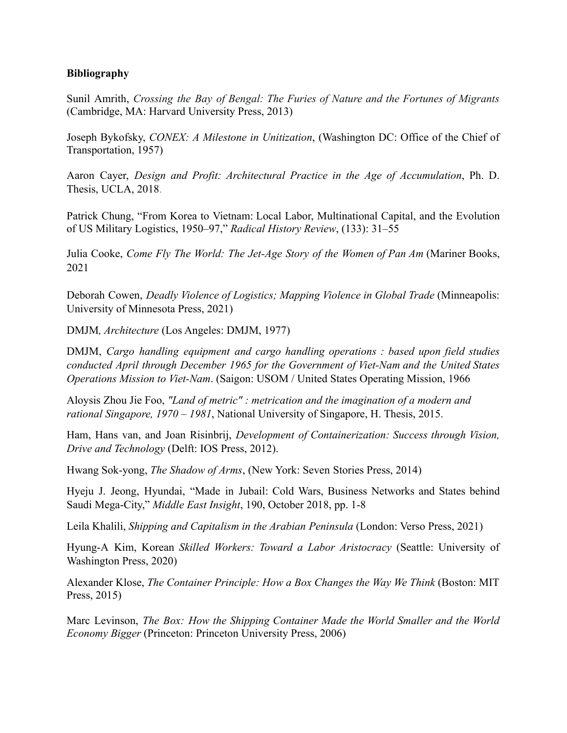## **Bibliography**

Sunil Amrith, *Crossing the Bay of Bengal: The Furies of Nature and the Fortunes of Migrants* (Cambridge, MA: Harvard University Press, 2013)

Joseph Bykofsky, *CONEX: A Milestone in Unitization*, (Washington DC: Office of the Chief of Transportation, 1957)

Aaron Cayer, *Design and Profit: Architectural Practice in the Age of Accumulation*, Ph. D. Thesis, UCLA, 2018.

Patrick Chung, "From Korea to Vietnam: Local Labor, Multinational Capital, and the Evolution of US Military Logistics, 1950–97," *Radical History Review*, (133): 31–55

Julia Cooke, *Come Fly The World: The Jet-Age Story of the Women of Pan Am* (Mariner Books, 2021

Deborah Cowen, *Deadly Violence of Logistics; Mapping Violence in Global Trade* (Minneapolis: University of Minnesota Press, 2021)

DMJM*, Architecture* (Los Angeles: DMJM, 1977)

DMJM, *Cargo handling equipment and cargo handling [operations](https://search.library.ucla.edu/discovery/fulldisplay?docid=alma9914397634006531&context=L&vid=01UCS_LAL:UCLA&lang=en&search_scope=ArticlesBooksMore&adaptor=Local%20Search%20Engine&tab=Articles_books_more_slot&query=any%2Ccontains%2Cdaniel%20mann%20johnson%20mendenhall%20vietnam&offset=0) : based upon field studies conducted April through December 1965 for the [Government](https://search.library.ucla.edu/discovery/fulldisplay?docid=alma9914397634006531&context=L&vid=01UCS_LAL:UCLA&lang=en&search_scope=ArticlesBooksMore&adaptor=Local%20Search%20Engine&tab=Articles_books_more_slot&query=any%2Ccontains%2Cdaniel%20mann%20johnson%20mendenhall%20vietnam&offset=0) of Viet-Nam and the United States [Operations Mission to](https://search.library.ucla.edu/discovery/fulldisplay?docid=alma9914397634006531&context=L&vid=01UCS_LAL:UCLA&lang=en&search_scope=ArticlesBooksMore&adaptor=Local%20Search%20Engine&tab=Articles_books_more_slot&query=any%2Ccontains%2Cdaniel%20mann%20johnson%20mendenhall%20vietnam&offset=0) Viet-Nam*. (Saigon: USOM / United States Operating Mission, 1966

Aloysis Zhou Jie Foo, *"Land of metric" : metrication and the imagination of a modern and rational Singapore, 1970 – 1981*, National University of Singapore, H. Thesis, 2015.

Ham, Hans van, and Joan Risinbrij, *Development of Containerization: Success through Vision, Drive and Technology* (Delft: IOS Press, 2012).

Hwang Sok-yong, *The Shadow of Arms*, (New York: Seven Stories Press, 2014)

Hyeju J. Jeong, Hyundai, "Made in Jubail: Cold Wars, Business Networks and States behind Saudi Mega-City," *Middle East Insight*, 190, October 2018, pp. 1-8

Leila Khalili, *Shipping and Capitalism in the Arabian Peninsula* (London: Verso Press, 2021)

Hyung-A Kim, Korean *Skilled Workers: Toward a Labor Aristocracy* (Seattle: University of Washington Press, 2020)

Alexander Klose, *The Container Principle: How a Box Changes the Way We Think* (Boston: MIT Press, 2015)

Marc Levinson, *The Box: How the Shipping Container Made the World Smaller and the World Economy Bigger* (Princeton: Princeton University Press, 2006)